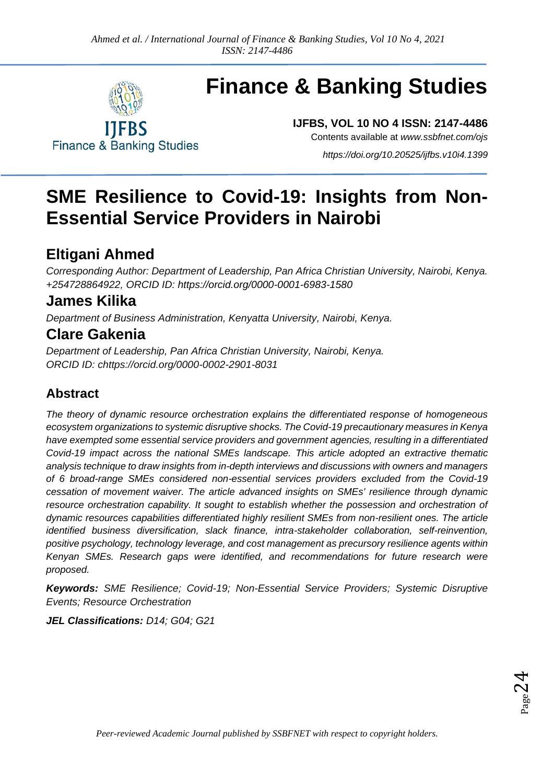

**Finance & Banking Studies** 

# **Finance & Banking Studies**

**IJFBS, VOL 10 NO 4 ISSN: 2147-4486** Contents available at *[www.ssbfnet.com/ojs](http://www.ssbfnet.com/ojs)*

*<https://doi.org/10.20525/ijfbs.v10i4.1399>*

## **SME Resilience to Covid-19: Insights from Non-Essential Service Providers in Nairobi**

### **Eltigani Ahmed**

*Corresponding Author: Department of Leadership, Pan Africa Christian University, Nairobi, Kenya. +254728864922, ORCID ID:<https://orcid.org/0000-0001-6983-1580>*

### **James Kilika**

*Department of Business Administration, Kenyatta University, Nairobi, Kenya.*

### **Clare Gakenia**

*Department of Leadership, Pan Africa Christian University, Nairobi, Kenya. ORCID ID: chttps://orcid.org/0000-0002-2901-8031*

### **Abstract**

*The theory of dynamic resource orchestration explains the differentiated response of homogeneous ecosystem organizations to systemic disruptive shocks. The Covid-19 precautionary measures in Kenya have exempted some essential service providers and government agencies, resulting in a differentiated Covid-19 impact across the national SMEs landscape. This article adopted an extractive thematic analysis technique to draw insights from in-depth interviews and discussions with owners and managers of 6 broad-range SMEs considered non-essential services providers excluded from the Covid-19 cessation of movement waiver. The article advanced insights on SMEs' resilience through dynamic resource orchestration capability. It sought to establish whether the possession and orchestration of dynamic resources capabilities differentiated highly resilient SMEs from non-resilient ones. The article identified business diversification, slack finance, intra-stakeholder collaboration, self-reinvention, positive psychology, technology leverage, and cost management as precursory resilience agents within Kenyan SMEs. Research gaps were identified, and recommendations for future research were proposed.*

*Keywords: SME Resilience; Covid-19; Non-Essential Service Providers; Systemic Disruptive Events; Resource Orchestration*

*JEL Classifications: D14; G04; G21*

 $_{\rm Page}$ 24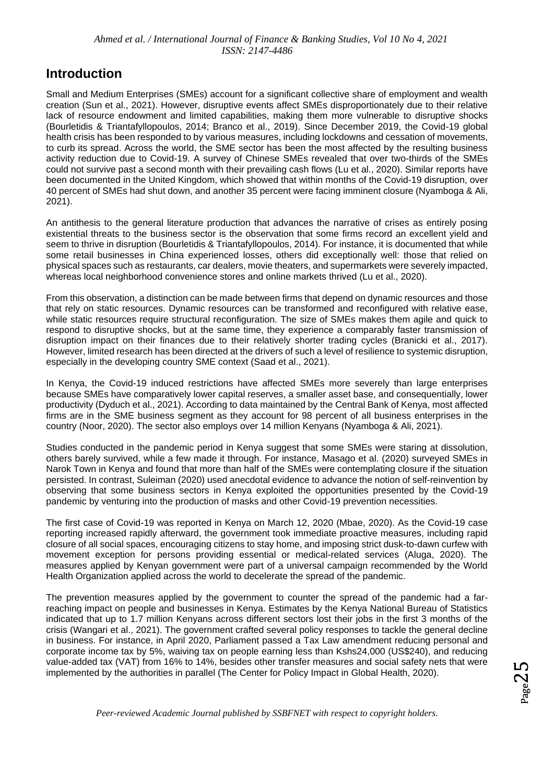### **Introduction**

Small and Medium Enterprises (SMEs) account for a significant collective share of employment and wealth creation (Sun et al., 2021). However, disruptive events affect SMEs disproportionately due to their relative lack of resource endowment and limited capabilities, making them more vulnerable to disruptive shocks (Bourletidis & Triantafyllopoulos, 2014; Branco et al., 2019). Since December 2019, the Covid-19 global health crisis has been responded to by various measures, including lockdowns and cessation of movements, to curb its spread. Across the world, the SME sector has been the most affected by the resulting business activity reduction due to Covid-19. A survey of Chinese SMEs revealed that over two-thirds of the SMEs could not survive past a second month with their prevailing cash flows (Lu et al., 2020). Similar reports have been documented in the United Kingdom, which showed that within months of the Covid-19 disruption, over 40 percent of SMEs had shut down, and another 35 percent were facing imminent closure (Nyamboga & Ali, 2021).

An antithesis to the general literature production that advances the narrative of crises as entirely posing existential threats to the business sector is the observation that some firms record an excellent yield and seem to thrive in disruption (Bourletidis & Triantafyllopoulos, 2014). For instance, it is documented that while some retail businesses in China experienced losses, others did exceptionally well: those that relied on physical spaces such as restaurants, car dealers, movie theaters, and supermarkets were severely impacted, whereas local neighborhood convenience stores and online markets thrived (Lu et al., 2020).

From this observation, a distinction can be made between firms that depend on dynamic resources and those that rely on static resources. Dynamic resources can be transformed and reconfigured with relative ease, while static resources require structural reconfiguration. The size of SMEs makes them agile and quick to respond to disruptive shocks, but at the same time, they experience a comparably faster transmission of disruption impact on their finances due to their relatively shorter trading cycles (Branicki et al., 2017). However, limited research has been directed at the drivers of such a level of resilience to systemic disruption, especially in the developing country SME context (Saad et al., 2021).

In Kenya, the Covid-19 induced restrictions have affected SMEs more severely than large enterprises because SMEs have comparatively lower capital reserves, a smaller asset base, and consequentially, lower productivity (Dyduch et al., 2021). According to data maintained by the Central Bank of Kenya, most affected firms are in the SME business segment as they account for 98 percent of all business enterprises in the country (Noor, 2020). The sector also employs over 14 million Kenyans (Nyamboga & Ali, 2021).

Studies conducted in the pandemic period in Kenya suggest that some SMEs were staring at dissolution, others barely survived, while a few made it through. For instance, Masago et al. (2020) surveyed SMEs in Narok Town in Kenya and found that more than half of the SMEs were contemplating closure if the situation persisted. In contrast, Suleiman (2020) used anecdotal evidence to advance the notion of self-reinvention by observing that some business sectors in Kenya exploited the opportunities presented by the Covid-19 pandemic by venturing into the production of masks and other Covid-19 prevention necessities.

The first case of Covid-19 was reported in Kenya on March 12, 2020 (Mbae, 2020). As the Covid-19 case reporting increased rapidly afterward, the government took immediate proactive measures, including rapid closure of all social spaces, encouraging citizens to stay home, and imposing strict dusk-to-dawn curfew with movement exception for persons providing essential or medical-related services (Aluga, 2020). The measures applied by Kenyan government were part of a universal campaign recommended by the World Health Organization applied across the world to decelerate the spread of the pandemic.

The prevention measures applied by the government to counter the spread of the pandemic had a farreaching impact on people and businesses in Kenya. Estimates by the Kenya National Bureau of Statistics indicated that up to 1.7 million Kenyans across different sectors lost their jobs in the first 3 months of the crisis (Wangari et al., 2021). The government crafted several policy responses to tackle the general decline in business. For instance, in April 2020, Parliament passed a Tax Law amendment reducing personal and corporate income tax by 5%, waiving tax on people earning less than Kshs24,000 (US\$240), and reducing value-added tax (VAT) from 16% to 14%, besides other transfer measures and social safety nets that were implemented by the authorities in parallel (The Center for Policy Impact in Global Health, 2020).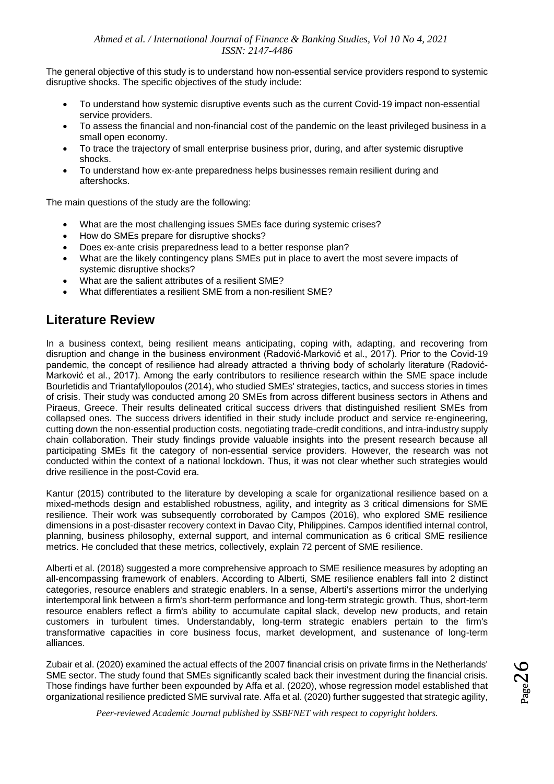The general objective of this study is to understand how non-essential service providers respond to systemic disruptive shocks. The specific objectives of the study include:

- To understand how systemic disruptive events such as the current Covid-19 impact non-essential service providers.
- To assess the financial and non-financial cost of the pandemic on the least privileged business in a small open economy.
- To trace the trajectory of small enterprise business prior, during, and after systemic disruptive shocks.
- To understand how ex-ante preparedness helps businesses remain resilient during and aftershocks.

The main questions of the study are the following:

- What are the most challenging issues SMEs face during systemic crises?
- How do SMEs prepare for disruptive shocks?
- Does ex-ante crisis preparedness lead to a better response plan?
- What are the likely contingency plans SMEs put in place to avert the most severe impacts of systemic disruptive shocks?
- What are the salient attributes of a resilient SME?
- What differentiates a resilient SME from a non-resilient SME?

### **Literature Review**

In a business context, being resilient means anticipating, coping with, adapting, and recovering from disruption and change in the business environment (Radović-Marković et al., 2017). Prior to the Covid-19 pandemic, the concept of resilience had already attracted a thriving body of scholarly literature (Radović-Marković et al., 2017). Among the early contributors to resilience research within the SME space include Bourletidis and Triantafyllopoulos (2014), who studied SMEs' strategies, tactics, and success stories in times of crisis. Their study was conducted among 20 SMEs from across different business sectors in Athens and Piraeus, Greece. Their results delineated critical success drivers that distinguished resilient SMEs from collapsed ones. The success drivers identified in their study include product and service re-engineering, cutting down the non-essential production costs, negotiating trade-credit conditions, and intra-industry supply chain collaboration. Their study findings provide valuable insights into the present research because all participating SMEs fit the category of non-essential service providers. However, the research was not conducted within the context of a national lockdown. Thus, it was not clear whether such strategies would drive resilience in the post-Covid era.

Kantur (2015) contributed to the literature by developing a scale for organizational resilience based on a mixed-methods design and established robustness, agility, and integrity as 3 critical dimensions for SME resilience. Their work was subsequently corroborated by Campos (2016), who explored SME resilience dimensions in a post-disaster recovery context in Davao City, Philippines. Campos identified internal control, planning, business philosophy, external support, and internal communication as 6 critical SME resilience metrics. He concluded that these metrics, collectively, explain 72 percent of SME resilience.

Alberti et al. (2018) suggested a more comprehensive approach to SME resilience measures by adopting an all-encompassing framework of enablers. According to Alberti, SME resilience enablers fall into 2 distinct categories, resource enablers and strategic enablers. In a sense, Alberti's assertions mirror the underlying intertemporal link between a firm's short-term performance and long-term strategic growth. Thus, short-term resource enablers reflect a firm's ability to accumulate capital slack, develop new products, and retain customers in turbulent times. Understandably, long-term strategic enablers pertain to the firm's transformative capacities in core business focus, market development, and sustenance of long-term alliances.

Zubair et al. (2020) examined the actual effects of the 2007 financial crisis on private firms in the Netherlands' SME sector. The study found that SMEs significantly scaled back their investment during the financial crisis. Those findings have further been expounded by Affa et al. (2020), whose regression model established that organizational resilience predicted SME survival rate. Affa et al. (2020) further suggested that strategic agility,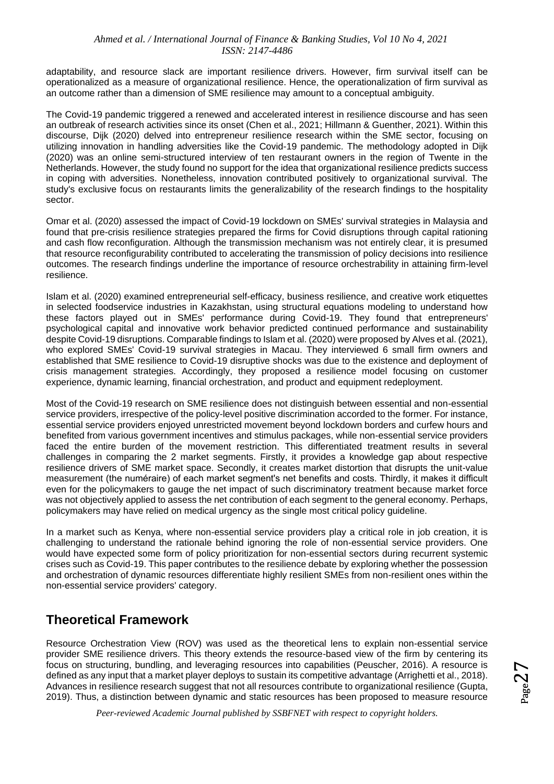adaptability, and resource slack are important resilience drivers. However, firm survival itself can be operationalized as a measure of organizational resilience. Hence, the operationalization of firm survival as an outcome rather than a dimension of SME resilience may amount to a conceptual ambiguity.

The Covid-19 pandemic triggered a renewed and accelerated interest in resilience discourse and has seen an outbreak of research activities since its onset (Chen et al., 2021; Hillmann & Guenther, 2021). Within this discourse, Dijk (2020) delved into entrepreneur resilience research within the SME sector, focusing on utilizing innovation in handling adversities like the Covid-19 pandemic. The methodology adopted in Dijk (2020) was an online semi-structured interview of ten restaurant owners in the region of Twente in the Netherlands. However, the study found no support for the idea that organizational resilience predicts success in coping with adversities. Nonetheless, innovation contributed positively to organizational survival. The study's exclusive focus on restaurants limits the generalizability of the research findings to the hospitality sector.

Omar et al. (2020) assessed the impact of Covid-19 lockdown on SMEs' survival strategies in Malaysia and found that pre-crisis resilience strategies prepared the firms for Covid disruptions through capital rationing and cash flow reconfiguration. Although the transmission mechanism was not entirely clear, it is presumed that resource reconfigurability contributed to accelerating the transmission of policy decisions into resilience outcomes. The research findings underline the importance of resource orchestrability in attaining firm-level resilience.

Islam et al. (2020) examined entrepreneurial self-efficacy, business resilience, and creative work etiquettes in selected foodservice industries in Kazakhstan, using structural equations modeling to understand how these factors played out in SMEs' performance during Covid-19. They found that entrepreneurs' psychological capital and innovative work behavior predicted continued performance and sustainability despite Covid-19 disruptions. Comparable findings to Islam et al. (2020) were proposed by Alves et al. (2021), who explored SMEs' Covid-19 survival strategies in Macau. They interviewed 6 small firm owners and established that SME resilience to Covid-19 disruptive shocks was due to the existence and deployment of crisis management strategies. Accordingly, they proposed a resilience model focusing on customer experience, dynamic learning, financial orchestration, and product and equipment redeployment.

Most of the Covid-19 research on SME resilience does not distinguish between essential and non-essential service providers, irrespective of the policy-level positive discrimination accorded to the former. For instance, essential service providers enjoyed unrestricted movement beyond lockdown borders and curfew hours and benefited from various government incentives and stimulus packages, while non-essential service providers faced the entire burden of the movement restriction. This differentiated treatment results in several challenges in comparing the 2 market segments. Firstly, it provides a knowledge gap about respective resilience drivers of SME market space. Secondly, it creates market distortion that disrupts the unit-value measurement (the numéraire) of each market segment's net benefits and costs. Thirdly, it makes it difficult even for the policymakers to gauge the net impact of such discriminatory treatment because market force was not objectively applied to assess the net contribution of each segment to the general economy. Perhaps, policymakers may have relied on medical urgency as the single most critical policy guideline.

In a market such as Kenya, where non-essential service providers play a critical role in job creation, it is challenging to understand the rationale behind ignoring the role of non-essential service providers. One would have expected some form of policy prioritization for non-essential sectors during recurrent systemic crises such as Covid-19. This paper contributes to the resilience debate by exploring whether the possession and orchestration of dynamic resources differentiate highly resilient SMEs from non-resilient ones within the non-essential service providers' category.

### **Theoretical Framework**

Resource Orchestration View (ROV) was used as the theoretical lens to explain non-essential service provider SME resilience drivers. This theory extends the resource-based view of the firm by centering its focus on structuring, bundling, and leveraging resources into capabilities (Peuscher, 2016). A resource is defined as any input that a market player deploys to sustain its competitive advantage (Arrighetti et al., 2018). Advances in resilience research suggest that not all resources contribute to organizational resilience (Gupta, 2019). Thus, a distinction between dynamic and static resources has been proposed to measure resource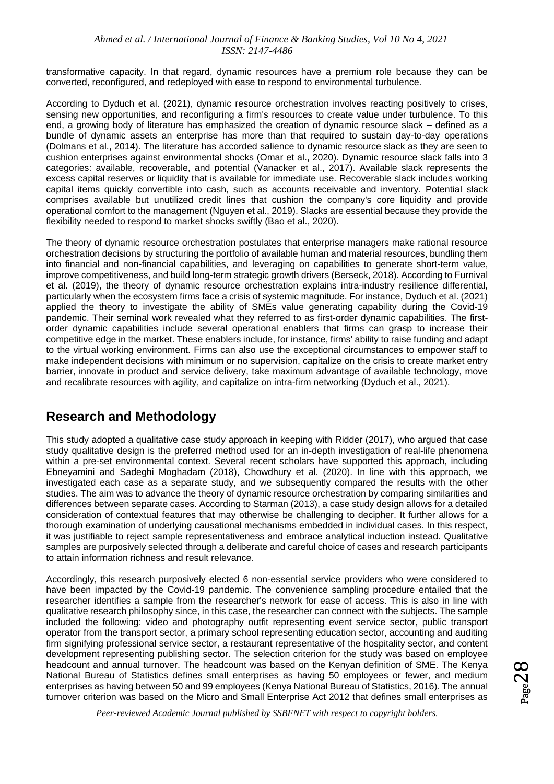transformative capacity. In that regard, dynamic resources have a premium role because they can be converted, reconfigured, and redeployed with ease to respond to environmental turbulence.

According to Dyduch et al. (2021), dynamic resource orchestration involves reacting positively to crises, sensing new opportunities, and reconfiguring a firm's resources to create value under turbulence. To this end, a growing body of literature has emphasized the creation of dynamic resource slack – defined as a bundle of dynamic assets an enterprise has more than that required to sustain day-to-day operations (Dolmans et al., 2014). The literature has accorded salience to dynamic resource slack as they are seen to cushion enterprises against environmental shocks (Omar et al., 2020). Dynamic resource slack falls into 3 categories: available, recoverable, and potential (Vanacker et al., 2017). Available slack represents the excess capital reserves or liquidity that is available for immediate use. Recoverable slack includes working capital items quickly convertible into cash, such as accounts receivable and inventory. Potential slack comprises available but unutilized credit lines that cushion the company's core liquidity and provide operational comfort to the management (Nguyen et al., 2019). Slacks are essential because they provide the flexibility needed to respond to market shocks swiftly (Bao et al., 2020).

The theory of dynamic resource orchestration postulates that enterprise managers make rational resource orchestration decisions by structuring the portfolio of available human and material resources, bundling them into financial and non-financial capabilities, and leveraging on capabilities to generate short-term value, improve competitiveness, and build long-term strategic growth drivers (Berseck, 2018). According to Furnival et al. (2019), the theory of dynamic resource orchestration explains intra-industry resilience differential, particularly when the ecosystem firms face a crisis of systemic magnitude. For instance, Dyduch et al. (2021) applied the theory to investigate the ability of SMEs value generating capability during the Covid-19 pandemic. Their seminal work revealed what they referred to as first-order dynamic capabilities. The firstorder dynamic capabilities include several operational enablers that firms can grasp to increase their competitive edge in the market. These enablers include, for instance, firms' ability to raise funding and adapt to the virtual working environment. Firms can also use the exceptional circumstances to empower staff to make independent decisions with minimum or no supervision, capitalize on the crisis to create market entry barrier, innovate in product and service delivery, take maximum advantage of available technology, move and recalibrate resources with agility, and capitalize on intra-firm networking (Dyduch et al., 2021).

### **Research and Methodology**

This study adopted a qualitative case study approach in keeping with Ridder (2017), who argued that case study qualitative design is the preferred method used for an in-depth investigation of real-life phenomena within a pre-set environmental context. Several recent scholars have supported this approach, including Ebneyamini and Sadeghi Moghadam (2018), Chowdhury et al. (2020). In line with this approach, we investigated each case as a separate study, and we subsequently compared the results with the other studies. The aim was to advance the theory of dynamic resource orchestration by comparing similarities and differences between separate cases. According to Starman (2013), a case study design allows for a detailed consideration of contextual features that may otherwise be challenging to decipher. It further allows for a thorough examination of underlying causational mechanisms embedded in individual cases. In this respect, it was justifiable to reject sample representativeness and embrace analytical induction instead. Qualitative samples are purposively selected through a deliberate and careful choice of cases and research participants to attain information richness and result relevance.

Accordingly, this research purposively elected 6 non-essential service providers who were considered to have been impacted by the Covid-19 pandemic. The convenience sampling procedure entailed that the researcher identifies a sample from the researcher's network for ease of access. This is also in line with qualitative research philosophy since, in this case, the researcher can connect with the subjects. The sample included the following: video and photography outfit representing event service sector, public transport operator from the transport sector, a primary school representing education sector, accounting and auditing firm signifying professional service sector, a restaurant representative of the hospitality sector, and content development representing publishing sector. The selection criterion for the study was based on employee headcount and annual turnover. The headcount was based on the Kenyan definition of SME. The Kenya National Bureau of Statistics defines small enterprises as having 50 employees or fewer, and medium enterprises as having between 50 and 99 employees (Kenya National Bureau of Statistics, 2016). The annual turnover criterion was based on the Micro and Small Enterprise Act 2012 that defines small enterprises as

 $P_{\text{age}}28$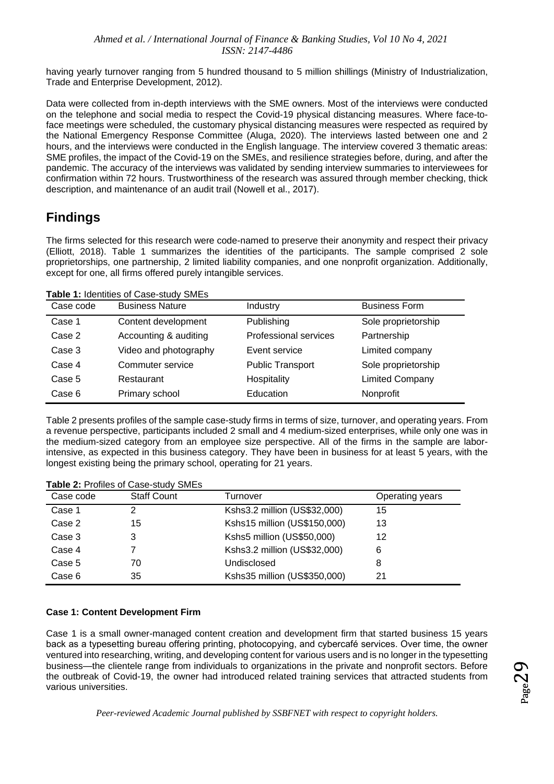having yearly turnover ranging from 5 hundred thousand to 5 million shillings (Ministry of Industrialization, Trade and Enterprise Development, 2012).

Data were collected from in-depth interviews with the SME owners. Most of the interviews were conducted on the telephone and social media to respect the Covid-19 physical distancing measures. Where face-toface meetings were scheduled, the customary physical distancing measures were respected as required by the National Emergency Response Committee (Aluga, 2020). The interviews lasted between one and 2 hours, and the interviews were conducted in the English language. The interview covered 3 thematic areas: SME profiles, the impact of the Covid-19 on the SMEs, and resilience strategies before, during, and after the pandemic. The accuracy of the interviews was validated by sending interview summaries to interviewees for confirmation within 72 hours. Trustworthiness of the research was assured through member checking, thick description, and maintenance of an audit trail (Nowell et al., 2017).

### **Findings**

The firms selected for this research were code-named to preserve their anonymity and respect their privacy (Elliott, 2018). Table 1 summarizes the identities of the participants. The sample comprised 2 sole proprietorships, one partnership, 2 limited liability companies, and one nonprofit organization. Additionally, except for one, all firms offered purely intangible services.

**Table 1:** Identities of Case-study SMEs

| Case code | <b>Business Nature</b> | Industry                     | <b>Business Form</b>   |
|-----------|------------------------|------------------------------|------------------------|
| Case 1    | Content development    | Publishing                   | Sole proprietorship    |
| Case 2    | Accounting & auditing  | <b>Professional services</b> | Partnership            |
| Case 3    | Video and photography  | Event service                | Limited company        |
| Case 4    | Commuter service       | <b>Public Transport</b>      | Sole proprietorship    |
| Case 5    | Restaurant             | Hospitality                  | <b>Limited Company</b> |
| Case 6    | Primary school         | Education                    | Nonprofit              |

Table 2 presents profiles of the sample case-study firms in terms of size, turnover, and operating years. From a revenue perspective, participants included 2 small and 4 medium-sized enterprises, while only one was in the medium-sized category from an employee size perspective. All of the firms in the sample are laborintensive, as expected in this business category. They have been in business for at least 5 years, with the longest existing being the primary school, operating for 21 years.

**Table 2:** Profiles of Case-study SMEs

| Case code | <b>Staff Count</b> | Turnover                     | Operating years |  |  |
|-----------|--------------------|------------------------------|-----------------|--|--|
| Case 1    |                    | Kshs3.2 million (US\$32,000) | 15              |  |  |
| Case 2    | 15                 | Kshs15 million (US\$150,000) | 13              |  |  |
| Case 3    | 3                  | Kshs5 million (US\$50,000)   | 12              |  |  |
| Case 4    |                    | Kshs3.2 million (US\$32,000) | 6               |  |  |
| Case 5    | 70                 | Undisclosed                  | 8               |  |  |
| Case 6    | 35                 | Kshs35 million (US\$350,000) | 21              |  |  |
|           |                    |                              |                 |  |  |

#### **Case 1: Content Development Firm**

Case 1 is a small owner-managed content creation and development firm that started business 15 years back as a typesetting bureau offering printing, photocopying, and cybercafé services. Over time, the owner ventured into researching, writing, and developing content for various users and is no longer in the typesetting business—the clientele range from individuals to organizations in the private and nonprofit sectors. Before the outbreak of Covid-19, the owner had introduced related training services that attracted students from various universities.

 $_{\rm Page}$ 29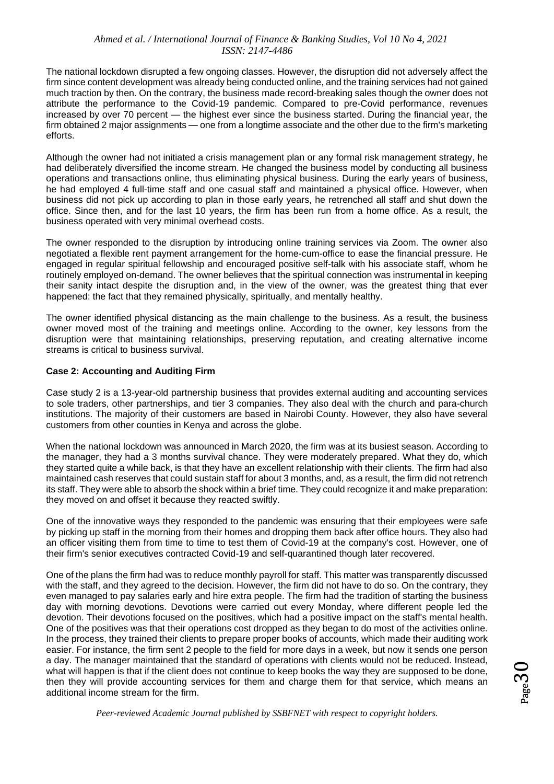The national lockdown disrupted a few ongoing classes. However, the disruption did not adversely affect the firm since content development was already being conducted online, and the training services had not gained much traction by then. On the contrary, the business made record-breaking sales though the owner does not attribute the performance to the Covid-19 pandemic. Compared to pre-Covid performance, revenues increased by over 70 percent — the highest ever since the business started. During the financial year, the firm obtained 2 major assignments — one from a longtime associate and the other due to the firm's marketing efforts.

Although the owner had not initiated a crisis management plan or any formal risk management strategy, he had deliberately diversified the income stream. He changed the business model by conducting all business operations and transactions online, thus eliminating physical business. During the early years of business, he had employed 4 full-time staff and one casual staff and maintained a physical office. However, when business did not pick up according to plan in those early years, he retrenched all staff and shut down the office. Since then, and for the last 10 years, the firm has been run from a home office. As a result, the business operated with very minimal overhead costs.

The owner responded to the disruption by introducing online training services via Zoom. The owner also negotiated a flexible rent payment arrangement for the home-cum-office to ease the financial pressure. He engaged in regular spiritual fellowship and encouraged positive self-talk with his associate staff, whom he routinely employed on-demand. The owner believes that the spiritual connection was instrumental in keeping their sanity intact despite the disruption and, in the view of the owner, was the greatest thing that ever happened: the fact that they remained physically, spiritually, and mentally healthy.

The owner identified physical distancing as the main challenge to the business. As a result, the business owner moved most of the training and meetings online. According to the owner, key lessons from the disruption were that maintaining relationships, preserving reputation, and creating alternative income streams is critical to business survival.

#### **Case 2: Accounting and Auditing Firm**

Case study 2 is a 13-year-old partnership business that provides external auditing and accounting services to sole traders, other partnerships, and tier 3 companies. They also deal with the church and para-church institutions. The majority of their customers are based in Nairobi County. However, they also have several customers from other counties in Kenya and across the globe.

When the national lockdown was announced in March 2020, the firm was at its busiest season. According to the manager, they had a 3 months survival chance. They were moderately prepared. What they do, which they started quite a while back, is that they have an excellent relationship with their clients. The firm had also maintained cash reserves that could sustain staff for about 3 months, and, as a result, the firm did not retrench its staff. They were able to absorb the shock within a brief time. They could recognize it and make preparation: they moved on and offset it because they reacted swiftly.

One of the innovative ways they responded to the pandemic was ensuring that their employees were safe by picking up staff in the morning from their homes and dropping them back after office hours. They also had an officer visiting them from time to time to test them of Covid-19 at the company's cost. However, one of their firm's senior executives contracted Covid-19 and self-quarantined though later recovered.

One of the plans the firm had was to reduce monthly payroll for staff. This matter was transparently discussed with the staff, and they agreed to the decision. However, the firm did not have to do so. On the contrary, they even managed to pay salaries early and hire extra people. The firm had the tradition of starting the business day with morning devotions. Devotions were carried out every Monday, where different people led the devotion. Their devotions focused on the positives, which had a positive impact on the staff's mental health. One of the positives was that their operations cost dropped as they began to do most of the activities online. In the process, they trained their clients to prepare proper books of accounts, which made their auditing work easier. For instance, the firm sent 2 people to the field for more days in a week, but now it sends one person a day. The manager maintained that the standard of operations with clients would not be reduced. Instead, what will happen is that if the client does not continue to keep books the way they are supposed to be done, then they will provide accounting services for them and charge them for that service, which means an additional income stream for the firm.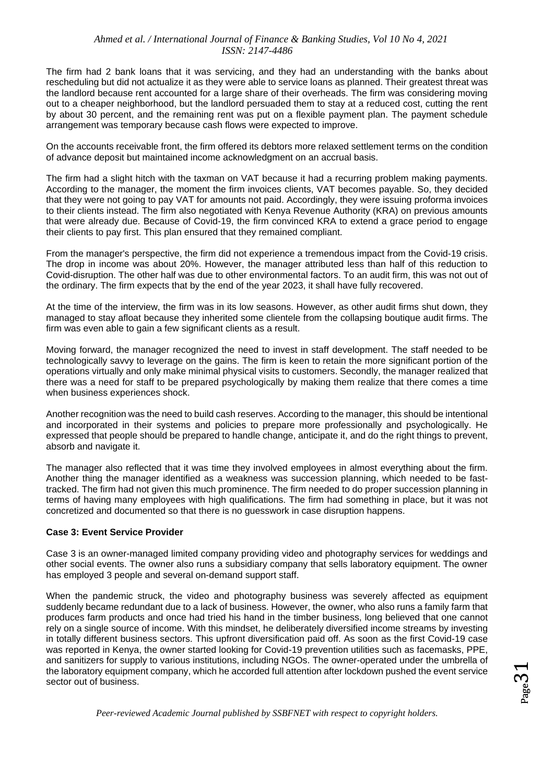The firm had 2 bank loans that it was servicing, and they had an understanding with the banks about rescheduling but did not actualize it as they were able to service loans as planned. Their greatest threat was the landlord because rent accounted for a large share of their overheads. The firm was considering moving out to a cheaper neighborhood, but the landlord persuaded them to stay at a reduced cost, cutting the rent by about 30 percent, and the remaining rent was put on a flexible payment plan. The payment schedule arrangement was temporary because cash flows were expected to improve.

On the accounts receivable front, the firm offered its debtors more relaxed settlement terms on the condition of advance deposit but maintained income acknowledgment on an accrual basis.

The firm had a slight hitch with the taxman on VAT because it had a recurring problem making payments. According to the manager, the moment the firm invoices clients, VAT becomes payable. So, they decided that they were not going to pay VAT for amounts not paid. Accordingly, they were issuing proforma invoices to their clients instead. The firm also negotiated with Kenya Revenue Authority (KRA) on previous amounts that were already due. Because of Covid-19, the firm convinced KRA to extend a grace period to engage their clients to pay first. This plan ensured that they remained compliant.

From the manager's perspective, the firm did not experience a tremendous impact from the Covid-19 crisis. The drop in income was about 20%. However, the manager attributed less than half of this reduction to Covid-disruption. The other half was due to other environmental factors. To an audit firm, this was not out of the ordinary. The firm expects that by the end of the year 2023, it shall have fully recovered.

At the time of the interview, the firm was in its low seasons. However, as other audit firms shut down, they managed to stay afloat because they inherited some clientele from the collapsing boutique audit firms. The firm was even able to gain a few significant clients as a result.

Moving forward, the manager recognized the need to invest in staff development. The staff needed to be technologically savvy to leverage on the gains. The firm is keen to retain the more significant portion of the operations virtually and only make minimal physical visits to customers. Secondly, the manager realized that there was a need for staff to be prepared psychologically by making them realize that there comes a time when business experiences shock.

Another recognition was the need to build cash reserves. According to the manager, this should be intentional and incorporated in their systems and policies to prepare more professionally and psychologically. He expressed that people should be prepared to handle change, anticipate it, and do the right things to prevent, absorb and navigate it.

The manager also reflected that it was time they involved employees in almost everything about the firm. Another thing the manager identified as a weakness was succession planning, which needed to be fasttracked. The firm had not given this much prominence. The firm needed to do proper succession planning in terms of having many employees with high qualifications. The firm had something in place, but it was not concretized and documented so that there is no guesswork in case disruption happens.

#### **Case 3: Event Service Provider**

Case 3 is an owner-managed limited company providing video and photography services for weddings and other social events. The owner also runs a subsidiary company that sells laboratory equipment. The owner has employed 3 people and several on-demand support staff.

When the pandemic struck, the video and photography business was severely affected as equipment suddenly became redundant due to a lack of business. However, the owner, who also runs a family farm that produces farm products and once had tried his hand in the timber business, long believed that one cannot rely on a single source of income. With this mindset, he deliberately diversified income streams by investing in totally different business sectors. This upfront diversification paid off. As soon as the first Covid-19 case was reported in Kenya, the owner started looking for Covid-19 prevention utilities such as facemasks, PPE, and sanitizers for supply to various institutions, including NGOs. The owner-operated under the umbrella of the laboratory equipment company, which he accorded full attention after lockdown pushed the event service sector out of business.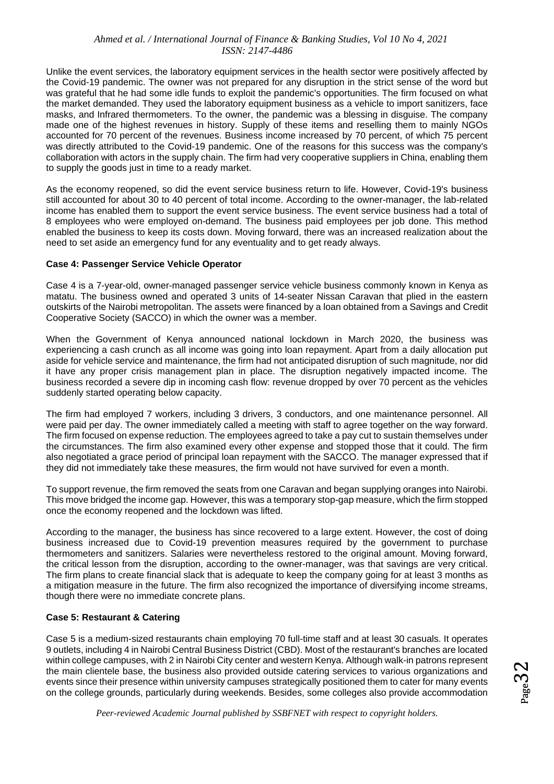Unlike the event services, the laboratory equipment services in the health sector were positively affected by the Covid-19 pandemic. The owner was not prepared for any disruption in the strict sense of the word but was grateful that he had some idle funds to exploit the pandemic's opportunities. The firm focused on what the market demanded. They used the laboratory equipment business as a vehicle to import sanitizers, face masks, and Infrared thermometers. To the owner, the pandemic was a blessing in disguise. The company made one of the highest revenues in history. Supply of these items and reselling them to mainly NGOs accounted for 70 percent of the revenues. Business income increased by 70 percent, of which 75 percent was directly attributed to the Covid-19 pandemic. One of the reasons for this success was the company's collaboration with actors in the supply chain. The firm had very cooperative suppliers in China, enabling them to supply the goods just in time to a ready market.

As the economy reopened, so did the event service business return to life. However, Covid-19's business still accounted for about 30 to 40 percent of total income. According to the owner-manager, the lab-related income has enabled them to support the event service business. The event service business had a total of 8 employees who were employed on-demand. The business paid employees per job done. This method enabled the business to keep its costs down. Moving forward, there was an increased realization about the need to set aside an emergency fund for any eventuality and to get ready always.

#### **Case 4: Passenger Service Vehicle Operator**

Case 4 is a 7-year-old, owner-managed passenger service vehicle business commonly known in Kenya as matatu. The business owned and operated 3 units of 14-seater Nissan Caravan that plied in the eastern outskirts of the Nairobi metropolitan. The assets were financed by a loan obtained from a Savings and Credit Cooperative Society (SACCO) in which the owner was a member.

When the Government of Kenya announced national lockdown in March 2020, the business was experiencing a cash crunch as all income was going into loan repayment. Apart from a daily allocation put aside for vehicle service and maintenance, the firm had not anticipated disruption of such magnitude, nor did it have any proper crisis management plan in place. The disruption negatively impacted income. The business recorded a severe dip in incoming cash flow: revenue dropped by over 70 percent as the vehicles suddenly started operating below capacity.

The firm had employed 7 workers, including 3 drivers, 3 conductors, and one maintenance personnel. All were paid per day. The owner immediately called a meeting with staff to agree together on the way forward. The firm focused on expense reduction. The employees agreed to take a pay cut to sustain themselves under the circumstances. The firm also examined every other expense and stopped those that it could. The firm also negotiated a grace period of principal loan repayment with the SACCO. The manager expressed that if they did not immediately take these measures, the firm would not have survived for even a month.

To support revenue, the firm removed the seats from one Caravan and began supplying oranges into Nairobi. This move bridged the income gap. However, this was a temporary stop-gap measure, which the firm stopped once the economy reopened and the lockdown was lifted.

According to the manager, the business has since recovered to a large extent. However, the cost of doing business increased due to Covid-19 prevention measures required by the government to purchase thermometers and sanitizers. Salaries were nevertheless restored to the original amount. Moving forward, the critical lesson from the disruption, according to the owner-manager, was that savings are very critical. The firm plans to create financial slack that is adequate to keep the company going for at least 3 months as a mitigation measure in the future. The firm also recognized the importance of diversifying income streams, though there were no immediate concrete plans.

#### **Case 5: Restaurant & Catering**

Case 5 is a medium-sized restaurants chain employing 70 full-time staff and at least 30 casuals. It operates 9 outlets, including 4 in Nairobi Central Business District (CBD). Most of the restaurant's branches are located within college campuses, with 2 in Nairobi City center and western Kenya. Although walk-in patrons represent the main clientele base, the business also provided outside catering services to various organizations and events since their presence within university campuses strategically positioned them to cater for many events on the college grounds, particularly during weekends. Besides, some colleges also provide accommodation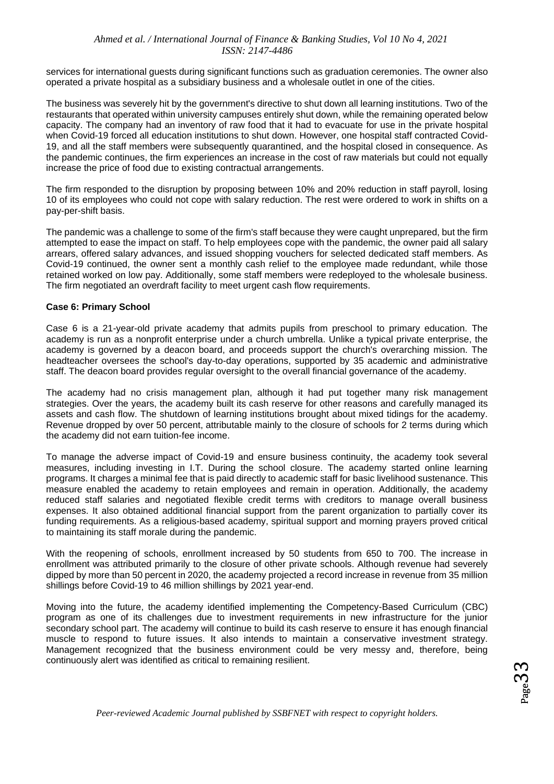services for international guests during significant functions such as graduation ceremonies. The owner also operated a private hospital as a subsidiary business and a wholesale outlet in one of the cities.

The business was severely hit by the government's directive to shut down all learning institutions. Two of the restaurants that operated within university campuses entirely shut down, while the remaining operated below capacity. The company had an inventory of raw food that it had to evacuate for use in the private hospital when Covid-19 forced all education institutions to shut down. However, one hospital staff contracted Covid-19, and all the staff members were subsequently quarantined, and the hospital closed in consequence. As the pandemic continues, the firm experiences an increase in the cost of raw materials but could not equally increase the price of food due to existing contractual arrangements.

The firm responded to the disruption by proposing between 10% and 20% reduction in staff payroll, losing 10 of its employees who could not cope with salary reduction. The rest were ordered to work in shifts on a pay-per-shift basis.

The pandemic was a challenge to some of the firm's staff because they were caught unprepared, but the firm attempted to ease the impact on staff. To help employees cope with the pandemic, the owner paid all salary arrears, offered salary advances, and issued shopping vouchers for selected dedicated staff members. As Covid-19 continued, the owner sent a monthly cash relief to the employee made redundant, while those retained worked on low pay. Additionally, some staff members were redeployed to the wholesale business. The firm negotiated an overdraft facility to meet urgent cash flow requirements.

#### **Case 6: Primary School**

Case 6 is a 21-year-old private academy that admits pupils from preschool to primary education. The academy is run as a nonprofit enterprise under a church umbrella. Unlike a typical private enterprise, the academy is governed by a deacon board, and proceeds support the church's overarching mission. The headteacher oversees the school's day-to-day operations, supported by 35 academic and administrative staff. The deacon board provides regular oversight to the overall financial governance of the academy.

The academy had no crisis management plan, although it had put together many risk management strategies. Over the years, the academy built its cash reserve for other reasons and carefully managed its assets and cash flow. The shutdown of learning institutions brought about mixed tidings for the academy. Revenue dropped by over 50 percent, attributable mainly to the closure of schools for 2 terms during which the academy did not earn tuition-fee income.

To manage the adverse impact of Covid-19 and ensure business continuity, the academy took several measures, including investing in I.T. During the school closure. The academy started online learning programs. It charges a minimal fee that is paid directly to academic staff for basic livelihood sustenance. This measure enabled the academy to retain employees and remain in operation. Additionally, the academy reduced staff salaries and negotiated flexible credit terms with creditors to manage overall business expenses. It also obtained additional financial support from the parent organization to partially cover its funding requirements. As a religious-based academy, spiritual support and morning prayers proved critical to maintaining its staff morale during the pandemic.

With the reopening of schools, enrollment increased by 50 students from 650 to 700. The increase in enrollment was attributed primarily to the closure of other private schools. Although revenue had severely dipped by more than 50 percent in 2020, the academy projected a record increase in revenue from 35 million shillings before Covid-19 to 46 million shillings by 2021 year-end.

Moving into the future, the academy identified implementing the Competency-Based Curriculum (CBC) program as one of its challenges due to investment requirements in new infrastructure for the junior secondary school part. The academy will continue to build its cash reserve to ensure it has enough financial muscle to respond to future issues. It also intends to maintain a conservative investment strategy. Management recognized that the business environment could be very messy and, therefore, being continuously alert was identified as critical to remaining resilient.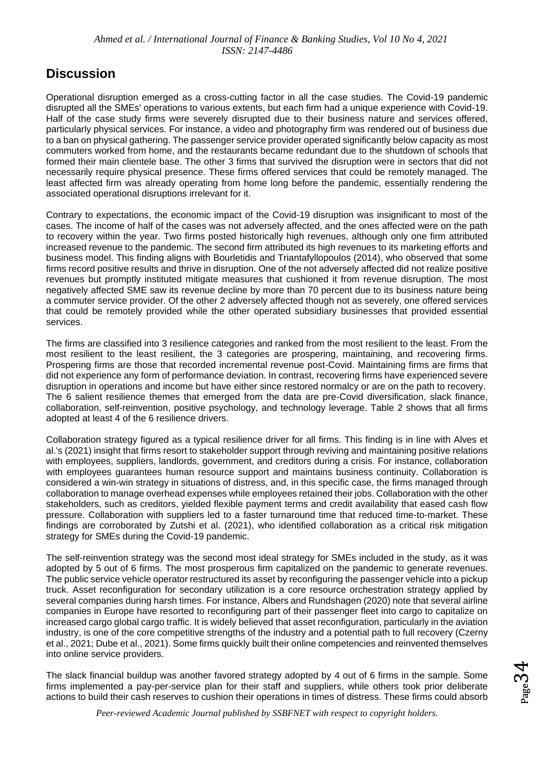### **Discussion**

Operational disruption emerged as a cross-cutting factor in all the case studies. The Covid-19 pandemic disrupted all the SMEs' operations to various extents, but each firm had a unique experience with Covid-19. Half of the case study firms were severely disrupted due to their business nature and services offered, particularly physical services. For instance, a video and photography firm was rendered out of business due to a ban on physical gathering. The passenger service provider operated significantly below capacity as most commuters worked from home, and the restaurants became redundant due to the shutdown of schools that formed their main clientele base. The other 3 firms that survived the disruption were in sectors that did not necessarily require physical presence. These firms offered services that could be remotely managed. The least affected firm was already operating from home long before the pandemic, essentially rendering the associated operational disruptions irrelevant for it.

Contrary to expectations, the economic impact of the Covid-19 disruption was insignificant to most of the cases. The income of half of the cases was not adversely affected, and the ones affected were on the path to recovery within the year. Two firms posted historically high revenues, although only one firm attributed increased revenue to the pandemic. The second firm attributed its high revenues to its marketing efforts and business model. This finding aligns with Bourletidis and Triantafyllopoulos (2014), who observed that some firms record positive results and thrive in disruption. One of the not adversely affected did not realize positive revenues but promptly instituted mitigate measures that cushioned it from revenue disruption. The most negatively affected SME saw its revenue decline by more than 70 percent due to its business nature being a commuter service provider. Of the other 2 adversely affected though not as severely, one offered services that could be remotely provided while the other operated subsidiary businesses that provided essential services.

The firms are classified into 3 resilience categories and ranked from the most resilient to the least. From the most resilient to the least resilient, the 3 categories are prospering, maintaining, and recovering firms. Prospering firms are those that recorded incremental revenue post-Covid. Maintaining firms are firms that did not experience any form of performance deviation. In contrast, recovering firms have experienced severe disruption in operations and income but have either since restored normalcy or are on the path to recovery. The 6 salient resilience themes that emerged from the data are pre-Covid diversification, slack finance, collaboration, self-reinvention, positive psychology, and technology leverage. Table 2 shows that all firms adopted at least 4 of the 6 resilience drivers.

Collaboration strategy figured as a typical resilience driver for all firms. This finding is in line with Alves et al.'s (2021) insight that firms resort to stakeholder support through reviving and maintaining positive relations with employees, suppliers, landlords, government, and creditors during a crisis. For instance, collaboration with employees guarantees human resource support and maintains business continuity. Collaboration is considered a win-win strategy in situations of distress, and, in this specific case, the firms managed through collaboration to manage overhead expenses while employees retained their jobs. Collaboration with the other stakeholders, such as creditors, yielded flexible payment terms and credit availability that eased cash flow pressure. Collaboration with suppliers led to a faster turnaround time that reduced time-to-market. These findings are corroborated by Zutshi et al. (2021), who identified collaboration as a critical risk mitigation strategy for SMEs during the Covid-19 pandemic.

The self-reinvention strategy was the second most ideal strategy for SMEs included in the study, as it was adopted by 5 out of 6 firms. The most prosperous firm capitalized on the pandemic to generate revenues. The public service vehicle operator restructured its asset by reconfiguring the passenger vehicle into a pickup truck. Asset reconfiguration for secondary utilization is a core resource orchestration strategy applied by several companies during harsh times. For instance, Albers and Rundshagen (2020) note that several airline companies in Europe have resorted to reconfiguring part of their passenger fleet into cargo to capitalize on increased cargo global cargo traffic. It is widely believed that asset reconfiguration, particularly in the aviation industry, is one of the core competitive strengths of the industry and a potential path to full recovery (Czerny et al., 2021; Dube et al., 2021). Some firms quickly built their online competencies and reinvented themselves into online service providers.

The slack financial buildup was another favored strategy adopted by 4 out of 6 firms in the sample. Some firms implemented a pay-per-service plan for their staff and suppliers, while others took prior deliberate actions to build their cash reserves to cushion their operations in times of distress. These firms could absorb  $24$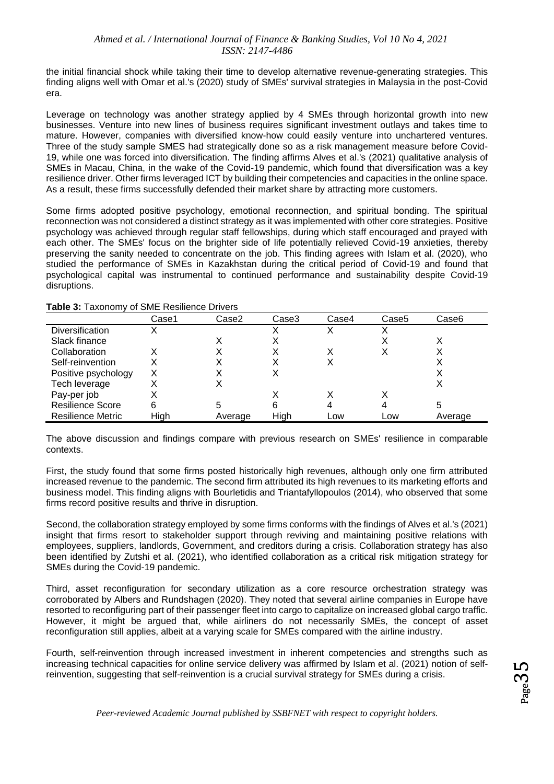the initial financial shock while taking their time to develop alternative revenue-generating strategies. This finding aligns well with Omar et al.'s (2020) study of SMEs' survival strategies in Malaysia in the post-Covid era.

Leverage on technology was another strategy applied by 4 SMEs through horizontal growth into new businesses. Venture into new lines of business requires significant investment outlays and takes time to mature. However, companies with diversified know-how could easily venture into unchartered ventures. Three of the study sample SMES had strategically done so as a risk management measure before Covid-19, while one was forced into diversification. The finding affirms Alves et al.'s (2021) qualitative analysis of SMEs in Macau, China, in the wake of the Covid-19 pandemic, which found that diversification was a key resilience driver. Other firms leveraged ICT by building their competencies and capacities in the online space. As a result, these firms successfully defended their market share by attracting more customers.

Some firms adopted positive psychology, emotional reconnection, and spiritual bonding. The spiritual reconnection was not considered a distinct strategy as it was implemented with other core strategies. Positive psychology was achieved through regular staff fellowships, during which staff encouraged and prayed with each other. The SMEs' focus on the brighter side of life potentially relieved Covid-19 anxieties, thereby preserving the sanity needed to concentrate on the job. This finding agrees with Islam et al. (2020), who studied the performance of SMEs in Kazakhstan during the critical period of Covid-19 and found that psychological capital was instrumental to continued performance and sustainability despite Covid-19 disruptions.

|                          | Case1 | Case2   | Case3 | Case4 | Case5 | Case6   |
|--------------------------|-------|---------|-------|-------|-------|---------|
| <b>Diversification</b>   | X     |         |       |       |       |         |
| Slack finance            |       |         |       |       |       |         |
| Collaboration            | X     |         |       |       |       |         |
| Self-reinvention         |       |         |       |       |       |         |
| Positive psychology      | Χ     |         |       |       |       |         |
| Tech leverage            |       |         |       |       |       |         |
| Pay-per job              |       |         |       |       |       |         |
| <b>Resilience Score</b>  | 6     | 5       | 6     |       |       | 5       |
| <b>Resilience Metric</b> | High  | Average | High  | Low   | Low   | Average |

**Table 3:** Taxonomy of SME Resilience Drivers

The above discussion and findings compare with previous research on SMEs' resilience in comparable contexts.

First, the study found that some firms posted historically high revenues, although only one firm attributed increased revenue to the pandemic. The second firm attributed its high revenues to its marketing efforts and business model. This finding aligns with Bourletidis and Triantafyllopoulos (2014), who observed that some firms record positive results and thrive in disruption.

Second, the collaboration strategy employed by some firms conforms with the findings of Alves et al.'s (2021) insight that firms resort to stakeholder support through reviving and maintaining positive relations with employees, suppliers, landlords, Government, and creditors during a crisis. Collaboration strategy has also been identified by Zutshi et al. (2021), who identified collaboration as a critical risk mitigation strategy for SMEs during the Covid-19 pandemic.

Third, asset reconfiguration for secondary utilization as a core resource orchestration strategy was corroborated by Albers and Rundshagen (2020). They noted that several airline companies in Europe have resorted to reconfiguring part of their passenger fleet into cargo to capitalize on increased global cargo traffic. However, it might be argued that, while airliners do not necessarily SMEs, the concept of asset reconfiguration still applies, albeit at a varying scale for SMEs compared with the airline industry.

Fourth, self-reinvention through increased investment in inherent competencies and strengths such as increasing technical capacities for online service delivery was affirmed by Islam et al. (2021) notion of selfreinvention, suggesting that self-reinvention is a crucial survival strategy for SMEs during a crisis.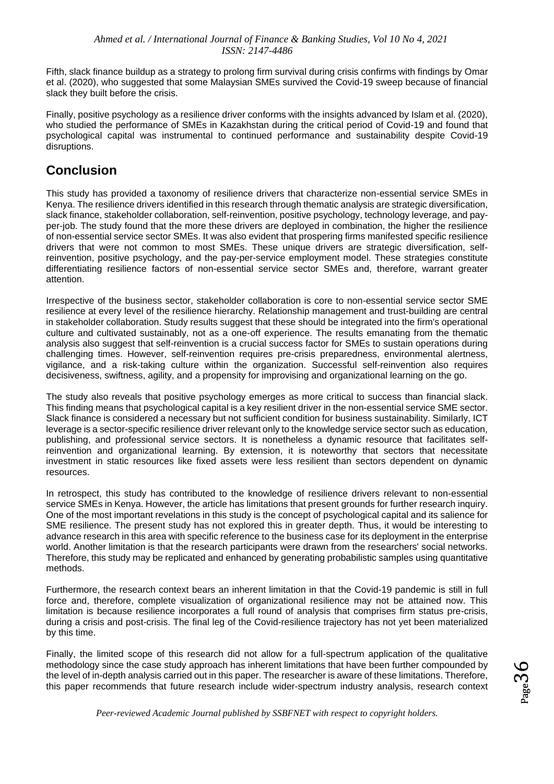Fifth, slack finance buildup as a strategy to prolong firm survival during crisis confirms with findings by Omar et al. (2020), who suggested that some Malaysian SMEs survived the Covid-19 sweep because of financial slack they built before the crisis.

Finally, positive psychology as a resilience driver conforms with the insights advanced by Islam et al. (2020), who studied the performance of SMEs in Kazakhstan during the critical period of Covid-19 and found that psychological capital was instrumental to continued performance and sustainability despite Covid-19 disruptions.

### **Conclusion**

This study has provided a taxonomy of resilience drivers that characterize non-essential service SMEs in Kenya. The resilience drivers identified in this research through thematic analysis are strategic diversification, slack finance, stakeholder collaboration, self-reinvention, positive psychology, technology leverage, and payper-job. The study found that the more these drivers are deployed in combination, the higher the resilience of non-essential service sector SMEs. It was also evident that prospering firms manifested specific resilience drivers that were not common to most SMEs. These unique drivers are strategic diversification, selfreinvention, positive psychology, and the pay-per-service employment model. These strategies constitute differentiating resilience factors of non-essential service sector SMEs and, therefore, warrant greater attention.

Irrespective of the business sector, stakeholder collaboration is core to non-essential service sector SME resilience at every level of the resilience hierarchy. Relationship management and trust-building are central in stakeholder collaboration. Study results suggest that these should be integrated into the firm's operational culture and cultivated sustainably, not as a one-off experience. The results emanating from the thematic analysis also suggest that self-reinvention is a crucial success factor for SMEs to sustain operations during challenging times. However, self-reinvention requires pre-crisis preparedness, environmental alertness, vigilance, and a risk-taking culture within the organization. Successful self-reinvention also requires decisiveness, swiftness, agility, and a propensity for improvising and organizational learning on the go.

The study also reveals that positive psychology emerges as more critical to success than financial slack. This finding means that psychological capital is a key resilient driver in the non-essential service SME sector. Slack finance is considered a necessary but not sufficient condition for business sustainability. Similarly, ICT leverage is a sector-specific resilience driver relevant only to the knowledge service sector such as education, publishing, and professional service sectors. It is nonetheless a dynamic resource that facilitates selfreinvention and organizational learning. By extension, it is noteworthy that sectors that necessitate investment in static resources like fixed assets were less resilient than sectors dependent on dynamic resources.

In retrospect, this study has contributed to the knowledge of resilience drivers relevant to non-essential service SMEs in Kenya. However, the article has limitations that present grounds for further research inquiry. One of the most important revelations in this study is the concept of psychological capital and its salience for SME resilience. The present study has not explored this in greater depth. Thus, it would be interesting to advance research in this area with specific reference to the business case for its deployment in the enterprise world. Another limitation is that the research participants were drawn from the researchers' social networks. Therefore, this study may be replicated and enhanced by generating probabilistic samples using quantitative methods.

Furthermore, the research context bears an inherent limitation in that the Covid-19 pandemic is still in full force and, therefore, complete visualization of organizational resilience may not be attained now. This limitation is because resilience incorporates a full round of analysis that comprises firm status pre-crisis, during a crisis and post-crisis. The final leg of the Covid-resilience trajectory has not yet been materialized by this time.

Finally, the limited scope of this research did not allow for a full-spectrum application of the qualitative methodology since the case study approach has inherent limitations that have been further compounded by the level of in-depth analysis carried out in this paper. The researcher is aware of these limitations. Therefore, this paper recommends that future research include wider-spectrum industry analysis, research context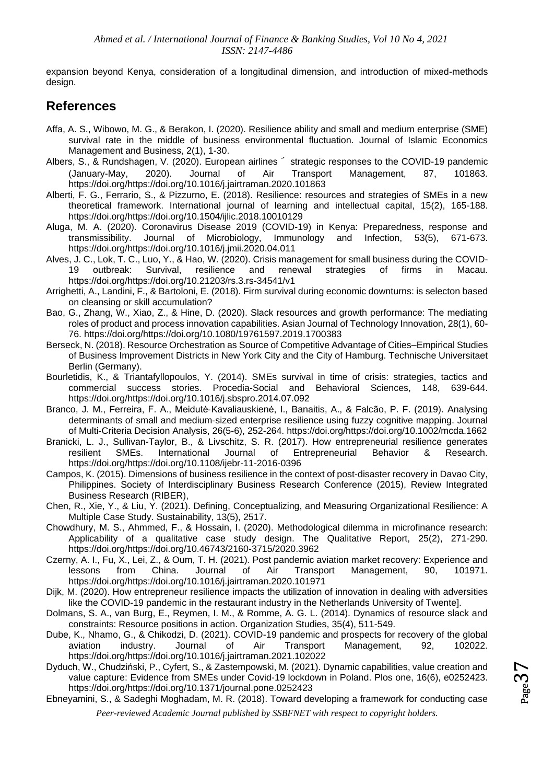expansion beyond Kenya, consideration of a longitudinal dimension, and introduction of mixed-methods design.

### **References**

- Affa, A. S., Wibowo, M. G., & Berakon, I. (2020). Resilience ability and small and medium enterprise (SME) survival rate in the middle of business environmental fluctuation. Journal of Islamic Economics Management and Business, 2(1), 1-30.
- Albers, S., & Rundshagen, V. (2020). European airlines′ strategic responses to the COVID-19 pandemic (January-May, 2020). Journal of Air Transport Management, 87, 101863. https://doi.org/https://doi.org/10.1016/j.jairtraman.2020.101863
- Alberti, F. G., Ferrario, S., & Pizzurno, E. (2018). Resilience: resources and strategies of SMEs in a new theoretical framework. International journal of learning and intellectual capital, 15(2), 165-188. https://doi.org/https://doi.org/10.1504/ijlic.2018.10010129
- Aluga, M. A. (2020). Coronavirus Disease 2019 (COVID-19) in Kenya: Preparedness, response and transmissibility. Journal of Microbiology, Immunology and Infection, 53(5), 671-673. https://doi.org/https://doi.org/10.1016/j.jmii.2020.04.011
- Alves, J. C., Lok, T. C., Luo, Y., & Hao, W. (2020). Crisis management for small business during the COVID-19 outbreak: Survival, resilience and renewal strategies of firms in Macau. https://doi.org/https://doi.org/10.21203/rs.3.rs-34541/v1
- Arrighetti, A., Landini, F., & Bartoloni, E. (2018). Firm survival during economic downturns: is selecton based on cleansing or skill accumulation?
- Bao, G., Zhang, W., Xiao, Z., & Hine, D. (2020). Slack resources and growth performance: The mediating roles of product and process innovation capabilities. Asian Journal of Technology Innovation, 28(1), 60- 76. https://doi.org/https://doi.org/10.1080/19761597.2019.1700383
- Berseck, N. (2018). Resource Orchestration as Source of Competitive Advantage of Cities–Empirical Studies of Business Improvement Districts in New York City and the City of Hamburg. Technische Universitaet Berlin (Germany).
- Bourletidis, K., & Triantafyllopoulos, Y. (2014). SMEs survival in time of crisis: strategies, tactics and commercial success stories. Procedia-Social and Behavioral Sciences, 148, 639-644. https://doi.org/https://doi.org/10.1016/j.sbspro.2014.07.092
- Branco, J. M., Ferreira, F. A., Meidutė‐Kavaliauskienė, I., Banaitis, A., & Falcão, P. F. (2019). Analysing determinants of small and medium‐sized enterprise resilience using fuzzy cognitive mapping. Journal of Multi‐Criteria Decision Analysis, 26(5-6), 252-264. https://doi.org/https://doi.org/10.1002/mcda.1662
- Branicki, L. J., Sullivan-Taylor, B., & Livschitz, S. R. (2017). How entrepreneurial resilience generates resilient SMEs. International Journal of Entrepreneurial Behavior & Research. https://doi.org/https://doi.org/10.1108/ijebr-11-2016-0396
- Campos, K. (2015). Dimensions of business resilience in the context of post-disaster recovery in Davao City, Philippines. Society of Interdisciplinary Business Research Conference (2015), Review Integrated Business Research (RIBER),
- Chen, R., Xie, Y., & Liu, Y. (2021). Defining, Conceptualizing, and Measuring Organizational Resilience: A Multiple Case Study. Sustainability, 13(5), 2517.
- Chowdhury, M. S., Ahmmed, F., & Hossain, I. (2020). Methodological dilemma in microfinance research: Applicability of a qualitative case study design. The Qualitative Report, 25(2), 271-290. https://doi.org/https://doi.org/10.46743/2160-3715/2020.3962
- Czerny, A. I., Fu, X., Lei, Z., & Oum, T. H. (2021). Post pandemic aviation market recovery: Experience and lessons from China. Journal of Air Transport Management, 90, 101971. https://doi.org/https://doi.org/10.1016/j.jairtraman.2020.101971
- Dijk, M. (2020). How entrepreneur resilience impacts the utilization of innovation in dealing with adversities like the COVID-19 pandemic in the restaurant industry in the Netherlands University of Twente].
- Dolmans, S. A., van Burg, E., Reymen, I. M., & Romme, A. G. L. (2014). Dynamics of resource slack and constraints: Resource positions in action. Organization Studies, 35(4), 511-549.
- Dube, K., Nhamo, G., & Chikodzi, D. (2021). COVID-19 pandemic and prospects for recovery of the global aviation industry. Journal of Air Transport Management, 92, 102022. https://doi.org/https://doi.org/10.1016/j.jairtraman.2021.102022
- Dyduch, W., Chudziński, P., Cyfert, S., & Zastempowski, M. (2021). Dynamic capabilities, value creation and value capture: Evidence from SMEs under Covid-19 lockdown in Poland. Plos one, 16(6), e0252423. https://doi.org/https://doi.org/10.1371/journal.pone.0252423
- *Peer-reviewed Academic Journal published by SSBFNET with respect to copyright holders.* Ebneyamini, S., & Sadeghi Moghadam, M. R. (2018). Toward developing a framework for conducting case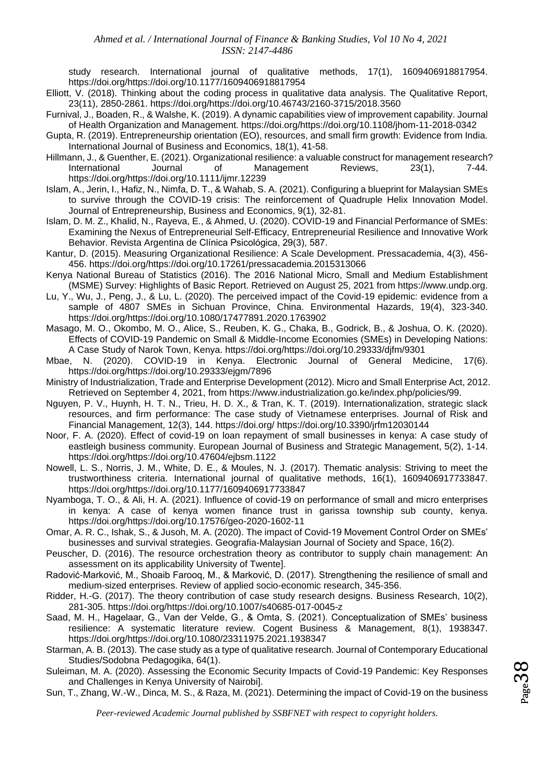study research. International journal of qualitative methods, 17(1), 1609406918817954. https://doi.org/https://doi.org/10.1177/1609406918817954

- Elliott, V. (2018). Thinking about the coding process in qualitative data analysis. The Qualitative Report, 23(11), 2850-2861. https://doi.org/https://doi.org/10.46743/2160-3715/2018.3560
- Furnival, J., Boaden, R., & Walshe, K. (2019). A dynamic capabilities view of improvement capability. Journal of Health Organization and Management. https://doi.org/https://doi.org/10.1108/jhom-11-2018-0342
- Gupta, R. (2019). Entrepreneurship orientation (EO), resources, and small firm growth: Evidence from India. International Journal of Business and Economics, 18(1), 41-58.
- Hillmann, J., & Guenther, E. (2021). Organizational resilience: a valuable construct for management research? International Journal of Management Reviews, 23(1), 7-44. https://doi.org/https://doi.org/10.1111/ijmr.12239
- Islam, A., Jerin, I., Hafiz, N., Nimfa, D. T., & Wahab, S. A. (2021). Configuring a blueprint for Malaysian SMEs to survive through the COVID-19 crisis: The reinforcement of Quadruple Helix Innovation Model. Journal of Entrepreneurship, Business and Economics, 9(1), 32-81.
- Islam, D. M. Z., Khalid, N., Rayeva, E., & Ahmed, U. (2020). COVID-19 and Financial Performance of SMEs: Examining the Nexus of Entrepreneurial Self-Efficacy, Entrepreneurial Resilience and Innovative Work Behavior. Revista Argentina de Clínica Psicológica, 29(3), 587.
- Kantur, D. (2015). Measuring Organizational Resilience: A Scale Development. Pressacademia, 4(3), 456- 456. https://doi.org/https://doi.org/10.17261/pressacademia.2015313066
- Kenya National Bureau of Statistics (2016). The 2016 National Micro, Small and Medium Establishment (MSME) Survey: Highlights of Basic Report. Retrieved on August 25, 2021 from https://www.undp.org.
- Lu, Y., Wu, J., Peng, J., & Lu, L. (2020). The perceived impact of the Covid-19 epidemic: evidence from a sample of 4807 SMEs in Sichuan Province, China. Environmental Hazards, 19(4), 323-340. https://doi.org/https://doi.org/10.1080/17477891.2020.1763902
- Masago, M. O., Okombo, M. O., Alice, S., Reuben, K. G., Chaka, B., Godrick, B., & Joshua, O. K. (2020). Effects of COVID-19 Pandemic on Small & Middle-Income Economies (SMEs) in Developing Nations: A Case Study of Narok Town, Kenya. https://doi.org/https://doi.org/10.29333/djfm/9301
- Mbae, N. (2020). COVID-19 in Kenya. Electronic Journal of General Medicine, 17(6). https://doi.org/https://doi.org/10.29333/ejgm/7896
- Ministry of Industrialization, Trade and Enterprise Development (2012). Micro and Small Enterprise Act, 2012. Retrieved on September 4, 2021, from https://www.industrialization.go.ke/index.php/policies/99.
- Nguyen, P. V., Huynh, H. T. N., Trieu, H. D. X., & Tran, K. T. (2019). Internationalization, strategic slack resources, and firm performance: The case study of Vietnamese enterprises. Journal of Risk and Financial Management, 12(3), 144. https://doi.org/ https://doi.org/10.3390/jrfm12030144
- Noor, F. A. (2020). Effect of covid-19 on loan repayment of small businesses in kenya: A case study of eastleigh business community. European Journal of Business and Strategic Management, 5(2), 1-14. https://doi.org/https://doi.org/10.47604/ejbsm.1122
- Nowell, L. S., Norris, J. M., White, D. E., & Moules, N. J. (2017). Thematic analysis: Striving to meet the trustworthiness criteria. International journal of qualitative methods, 16(1), 1609406917733847. https://doi.org/https://doi.org/10.1177/1609406917733847
- Nyamboga, T. O., & Ali, H. A. (2021). Influence of covid-19 on performance of small and micro enterprises in kenya: A case of kenya women finance trust in garissa township sub county, kenya. https://doi.org/https://doi.org/10.17576/geo-2020-1602-11
- Omar, A. R. C., Ishak, S., & Jusoh, M. A. (2020). The impact of Covid-19 Movement Control Order on SMEs' businesses and survival strategies. Geografia-Malaysian Journal of Society and Space, 16(2).
- Peuscher, D. (2016). The resource orchestration theory as contributor to supply chain management: An assessment on its applicability University of Twente].
- Radović-Marković, M., Shoaib Farooq, M., & Marković, D. (2017). Strengthening the resilience of small and medium-sized enterprises. Review of applied socio-economic research, 345-356.
- Ridder, H.-G. (2017). The theory contribution of case study research designs. Business Research, 10(2), 281-305. https://doi.org/https://doi.org/10.1007/s40685-017-0045-z
- Saad, M. H., Hagelaar, G., Van der Velde, G., & Omta, S. (2021). Conceptualization of SMEs' business resilience: A systematic literature review. Cogent Business & Management, 8(1), 1938347. https://doi.org/https://doi.org/10.1080/23311975.2021.1938347
- Starman, A. B. (2013). The case study as a type of qualitative research. Journal of Contemporary Educational Studies/Sodobna Pedagogika, 64(1).
- Suleiman, M. A. (2020). Assessing the Economic Security Impacts of Covid-19 Pandemic: Key Responses and Challenges in Kenya University of Nairobi].
- Sun, T., Zhang, W.-W., Dinca, M. S., & Raza, M. (2021). Determining the impact of Covid-19 on the business